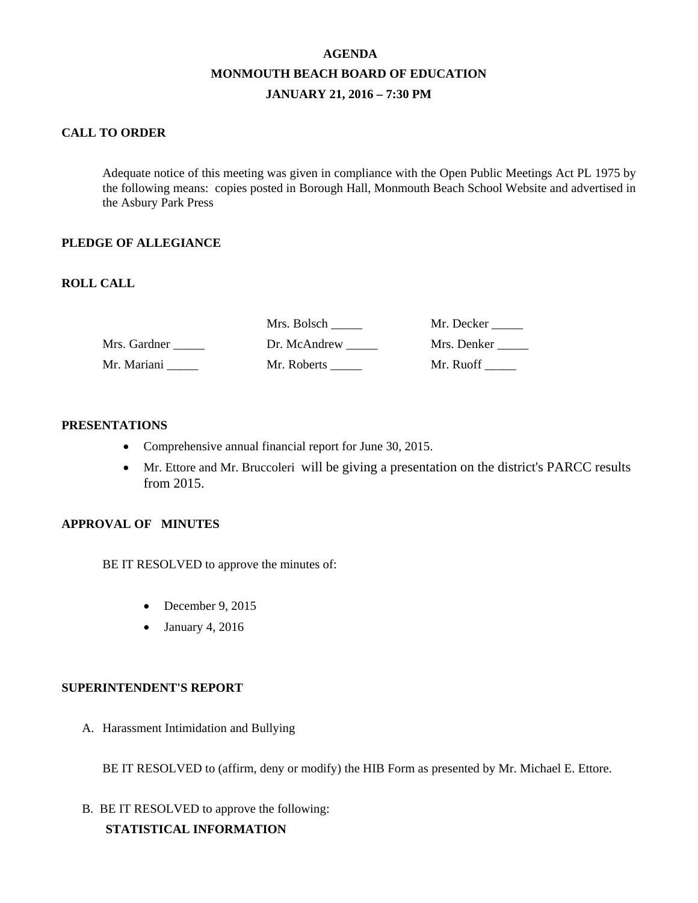# **AGENDA MONMOUTH BEACH BOARD OF EDUCATION JANUARY 21, 2016 – 7:30 PM**

### **CALL TO ORDER**

Adequate notice of this meeting was given in compliance with the Open Public Meetings Act PL 1975 by the following means: copies posted in Borough Hall, Monmouth Beach School Website and advertised in the Asbury Park Press

#### **PLEDGE OF ALLEGIANCE**

### **ROLL CALL**

|              | Mrs. Bolsch  | Mr. Decker  |
|--------------|--------------|-------------|
| Mrs. Gardner | Dr. McAndrew | Mrs. Denker |
| Mr. Mariani  | Mr. Roberts  | Mr. Ruoff   |

#### **PRESENTATIONS**

- Comprehensive annual financial report for June 30, 2015.
- Mr. Ettore and Mr. Bruccoleri will be giving a presentation on the district's PARCC results from 2015.

#### **APPROVAL OF MINUTES**

BE IT RESOLVED to approve the minutes of:

- December 9, 2015
- January 4, 2016

#### **SUPERINTENDENT'S REPORT**

A. Harassment Intimidation and Bullying

BE IT RESOLVED to (affirm, deny or modify) the HIB Form as presented by Mr. Michael E. Ettore.

B. BE IT RESOLVED to approve the following:  **STATISTICAL INFORMATION**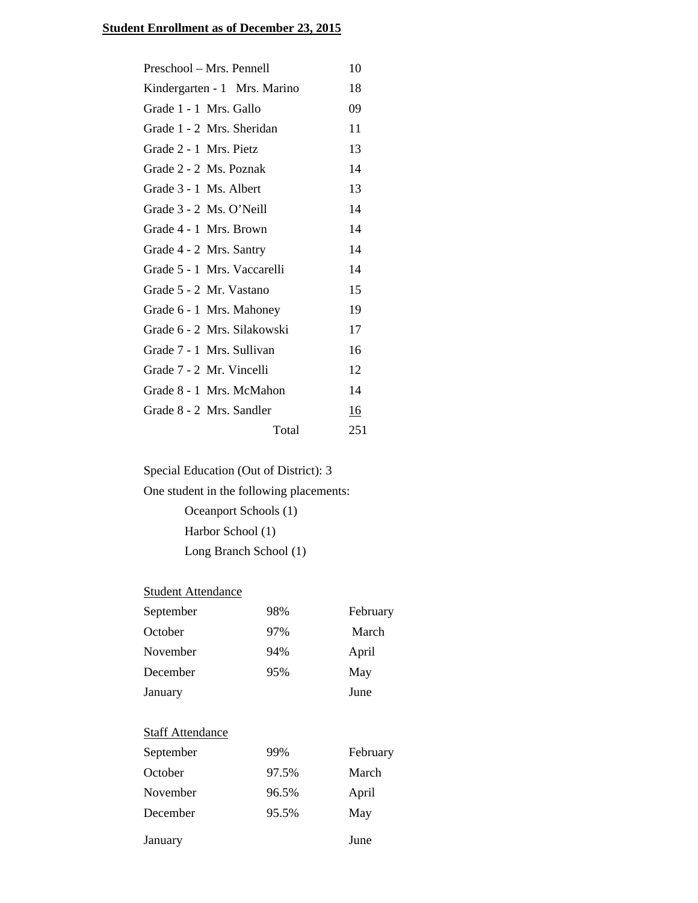# **Student Enrollment as of December 23, 2015**

| Preschool – Mrs. Pennell     | 10        |
|------------------------------|-----------|
| Kindergarten - 1 Mrs. Marino | 18        |
| Grade 1 - 1 Mrs. Gallo       | 09        |
| Grade 1 - 2 Mrs. Sheridan    | 11        |
| Grade 2 - 1 Mrs. Pietz       | 13        |
| Grade 2 - 2 Ms. Poznak       | 14        |
| Grade 3 - 1 Ms. Albert       | 13        |
| Grade 3 - 2 Ms. O'Neill      | 14        |
| Grade 4 - 1 Mrs. Brown       | 14        |
| Grade 4 - 2 Mrs. Santry      | 14        |
| Grade 5 - 1 Mrs. Vaccarelli  | 14        |
| Grade 5 - 2 Mr. Vastano      | 15        |
| Grade 6 - 1 Mrs. Mahoney     | 19        |
| Grade 6 - 2 Mrs. Silakowski  | 17        |
| Grade 7 - 1 Mrs. Sullivan    | 16        |
| Grade 7 - 2 Mr. Vincelli     | 12        |
| Grade 8 - 1 Mrs. McMahon     | 14        |
| Grade 8 - 2 Mrs. Sandler     | <u>16</u> |
| Total                        | 251       |

Special Education (Out of District): 3

One student in the following placements: Oceanport Schools (1) Harbor School (1) Long Branch School (1)

# **Student Attendance**

| September | 98% | February |
|-----------|-----|----------|
| October   | 97% | March    |
| November  | 94% | April    |
| December  | 95% | May      |
| January   |     | June     |

# **Staff Attendance**

| September | 99%   | February |
|-----------|-------|----------|
| October   | 97.5% | March    |
| November  | 96.5% | April    |
| December  | 95.5% | May      |
| January   |       | June     |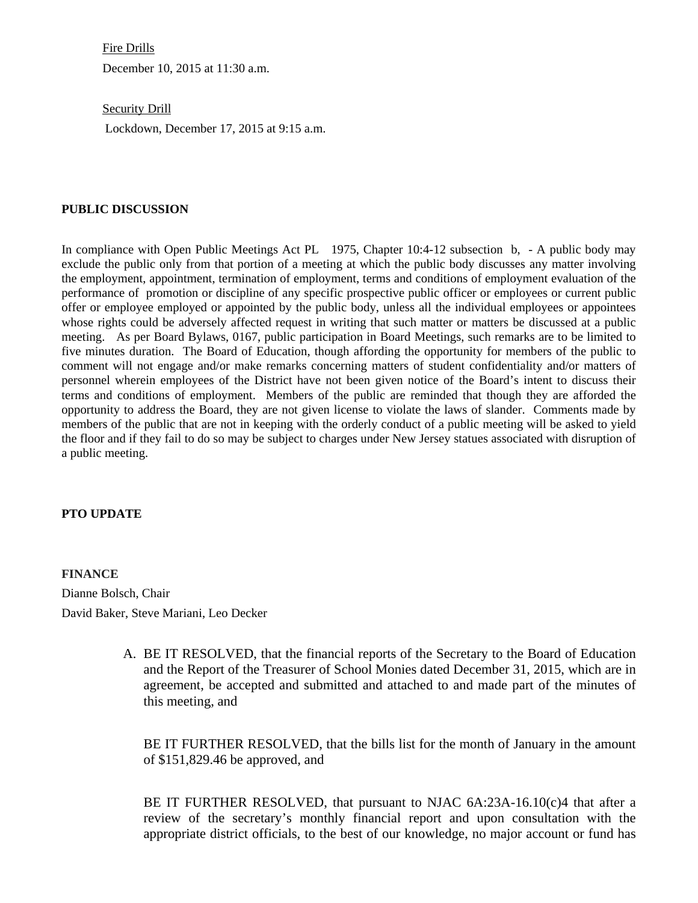Fire Drills

December 10, 2015 at 11:30 a.m.

Security Drill

Lockdown, December 17, 2015 at 9:15 a.m.

#### **PUBLIC DISCUSSION**

In compliance with Open Public Meetings Act PL 1975, Chapter 10:4-12 subsection b, - A public body may exclude the public only from that portion of a meeting at which the public body discusses any matter involving the employment, appointment, termination of employment, terms and conditions of employment evaluation of the performance of promotion or discipline of any specific prospective public officer or employees or current public offer or employee employed or appointed by the public body, unless all the individual employees or appointees whose rights could be adversely affected request in writing that such matter or matters be discussed at a public meeting. As per Board Bylaws, 0167, public participation in Board Meetings, such remarks are to be limited to five minutes duration. The Board of Education, though affording the opportunity for members of the public to comment will not engage and/or make remarks concerning matters of student confidentiality and/or matters of personnel wherein employees of the District have not been given notice of the Board's intent to discuss their terms and conditions of employment. Members of the public are reminded that though they are afforded the opportunity to address the Board, they are not given license to violate the laws of slander. Comments made by members of the public that are not in keeping with the orderly conduct of a public meeting will be asked to yield the floor and if they fail to do so may be subject to charges under New Jersey statues associated with disruption of a public meeting.

#### **PTO UPDATE**

**FINANCE**  Dianne Bolsch, Chair David Baker, Steve Mariani, Leo Decker

> A. BE IT RESOLVED, that the financial reports of the Secretary to the Board of Education and the Report of the Treasurer of School Monies dated December 31, 2015, which are in agreement, be accepted and submitted and attached to and made part of the minutes of this meeting, and

BE IT FURTHER RESOLVED, that the bills list for the month of January in the amount of \$151,829.46 be approved, and

BE IT FURTHER RESOLVED, that pursuant to NJAC 6A:23A-16.10(c)4 that after a review of the secretary's monthly financial report and upon consultation with the appropriate district officials, to the best of our knowledge, no major account or fund has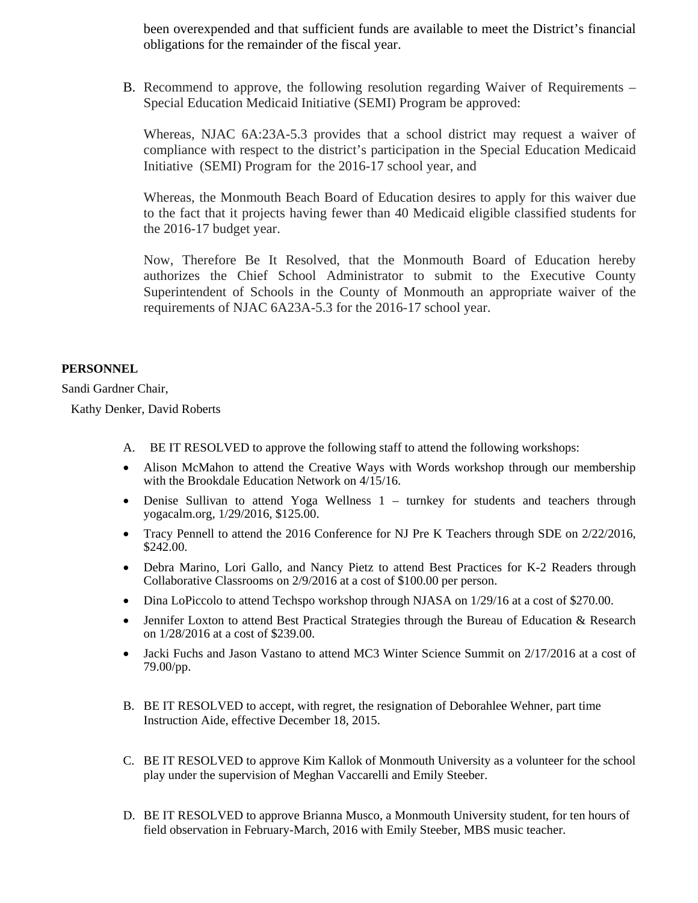been overexpended and that sufficient funds are available to meet the District's financial obligations for the remainder of the fiscal year.

B. Recommend to approve, the following resolution regarding Waiver of Requirements – Special Education Medicaid Initiative (SEMI) Program be approved:

Whereas, NJAC 6A:23A-5.3 provides that a school district may request a waiver of compliance with respect to the district's participation in the Special Education Medicaid Initiative (SEMI) Program for the 2016-17 school year, and

Whereas, the Monmouth Beach Board of Education desires to apply for this waiver due to the fact that it projects having fewer than 40 Medicaid eligible classified students for the 2016-17 budget year.

Now, Therefore Be It Resolved, that the Monmouth Board of Education hereby authorizes the Chief School Administrator to submit to the Executive County Superintendent of Schools in the County of Monmouth an appropriate waiver of the requirements of NJAC 6A23A-5.3 for the 2016-17 school year.

#### **PERSONNEL**

Sandi Gardner Chair,

Kathy Denker, David Roberts

- A. BE IT RESOLVED to approve the following staff to attend the following workshops:
- Alison McMahon to attend the Creative Ways with Words workshop through our membership with the Brookdale Education Network on  $4/15/16$ .
- Denise Sullivan to attend Yoga Wellness 1 turnkey for students and teachers through yogacalm.org, 1/29/2016, \$125.00.
- Tracy Pennell to attend the 2016 Conference for NJ Pre K Teachers through SDE on 2/22/2016, \$242.00.
- Debra Marino, Lori Gallo, and Nancy Pietz to attend Best Practices for K-2 Readers through Collaborative Classrooms on 2/9/2016 at a cost of \$100.00 per person.
- Dina LoPiccolo to attend Techspo workshop through NJASA on 1/29/16 at a cost of \$270.00.
- Jennifer Loxton to attend Best Practical Strategies through the Bureau of Education & Research on 1/28/2016 at a cost of \$239.00.
- Jacki Fuchs and Jason Vastano to attend MC3 Winter Science Summit on  $2/17/2016$  at a cost of 79.00/pp.
- B. BE IT RESOLVED to accept, with regret, the resignation of Deborahlee Wehner, part time Instruction Aide, effective December 18, 2015.
- C. BE IT RESOLVED to approve Kim Kallok of Monmouth University as a volunteer for the school play under the supervision of Meghan Vaccarelli and Emily Steeber.
- D. BE IT RESOLVED to approve Brianna Musco, a Monmouth University student, for ten hours of field observation in February-March, 2016 with Emily Steeber, MBS music teacher.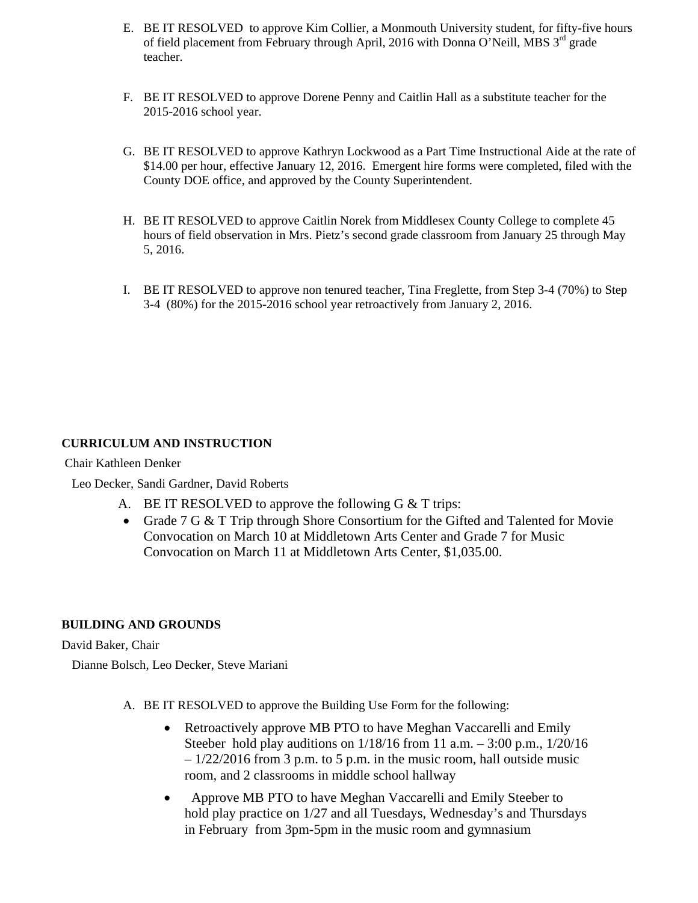- E. BE IT RESOLVED to approve Kim Collier, a Monmouth University student, for fifty-five hours of field placement from February through April, 2016 with Donna O'Neill, MBS 3<sup>rd</sup> grade teacher.
- F. BE IT RESOLVED to approve Dorene Penny and Caitlin Hall as a substitute teacher for the 2015-2016 school year.
- G. BE IT RESOLVED to approve Kathryn Lockwood as a Part Time Instructional Aide at the rate of \$14.00 per hour, effective January 12, 2016. Emergent hire forms were completed, filed with the County DOE office, and approved by the County Superintendent.
- H. BE IT RESOLVED to approve Caitlin Norek from Middlesex County College to complete 45 hours of field observation in Mrs. Pietz's second grade classroom from January 25 through May 5, 2016.
- I. BE IT RESOLVED to approve non tenured teacher, Tina Freglette, from Step 3-4 (70%) to Step 3-4 (80%) for the 2015-2016 school year retroactively from January 2, 2016.

### **CURRICULUM AND INSTRUCTION**

Chair Kathleen Denker

Leo Decker, Sandi Gardner, David Roberts

- A. BE IT RESOLVED to approve the following G & T trips:
- Grade 7 G & T Trip through Shore Consortium for the Gifted and Talented for Movie Convocation on March 10 at Middletown Arts Center and Grade 7 for Music Convocation on March 11 at Middletown Arts Center, \$1,035.00.

#### **BUILDING AND GROUNDS**

David Baker, Chair

Dianne Bolsch, Leo Decker, Steve Mariani

- A. BE IT RESOLVED to approve the Building Use Form for the following:
	- Retroactively approve MB PTO to have Meghan Vaccarelli and Emily Steeber hold play auditions on 1/18/16 from 11 a.m. – 3:00 p.m., 1/20/16  $-1/22/2016$  from 3 p.m. to 5 p.m. in the music room, hall outside music room, and 2 classrooms in middle school hallway
	- Approve MB PTO to have Meghan Vaccarelli and Emily Steeber to hold play practice on 1/27 and all Tuesdays, Wednesday's and Thursdays in February from 3pm-5pm in the music room and gymnasium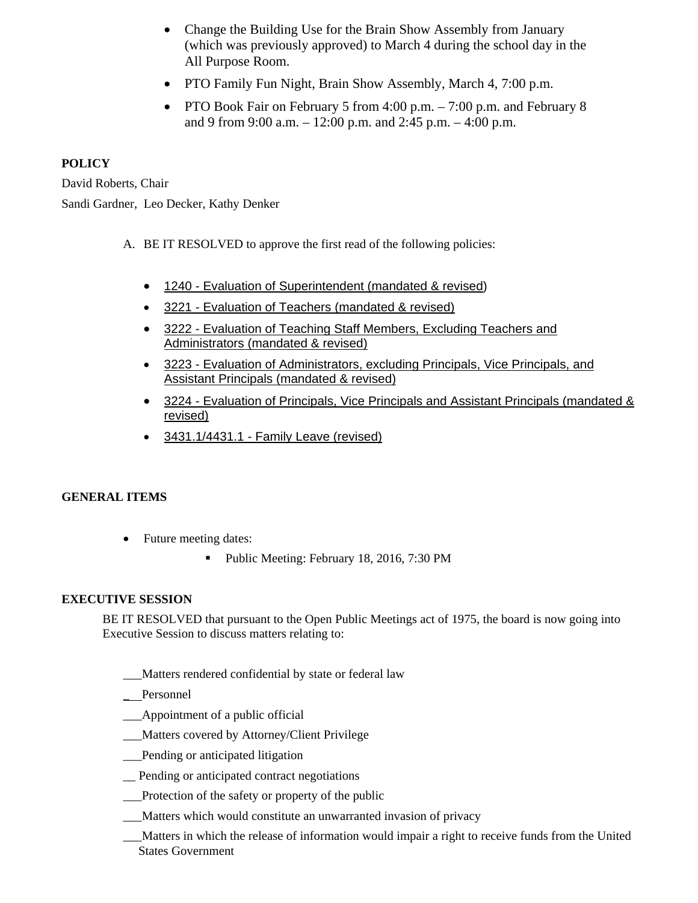- Change the Building Use for the Brain Show Assembly from January (which was previously approved) to March 4 during the school day in the All Purpose Room.
- PTO Family Fun Night, Brain Show Assembly, March 4, 7:00 p.m.
- PTO Book Fair on February 5 from 4:00 p.m. 7:00 p.m. and February 8 and 9 from 9:00 a.m. – 12:00 p.m. and 2:45 p.m. – 4:00 p.m.

# **POLICY**

David Roberts, Chair Sandi Gardner, Leo Decker, Kathy Denker

- A. BE IT RESOLVED to approve the first read of the following policies:
	- 1240 Evaluation of Superintendent (mandated & revised)
	- 3221 Evaluation of Teachers (mandated & revised)
	- 3222 Evaluation of Teaching Staff Members, Excluding Teachers and Administrators (mandated & revised)
	- 3223 Evaluation of Administrators, excluding Principals, Vice Principals, and Assistant Principals (mandated & revised)
	- 3224 Evaluation of Principals, Vice Principals and Assistant Principals (mandated & revised)
	- 3431.1/4431.1 Family Leave (revised)

### **GENERAL ITEMS**

- Future meeting dates:
	- Public Meeting: February 18, 2016, 7:30 PM

# **EXECUTIVE SESSION**

BE IT RESOLVED that pursuant to the Open Public Meetings act of 1975, the board is now going into Executive Session to discuss matters relating to:

- Matters rendered confidential by state or federal law
- Personnel
- \_\_\_Appointment of a public official
- Matters covered by Attorney/Client Privilege
- \_\_\_Pending or anticipated litigation
- \_\_ Pending or anticipated contract negotiations
- \_\_\_Protection of the safety or property of the public
- Matters which would constitute an unwarranted invasion of privacy
- \_\_\_Matters in which the release of information would impair a right to receive funds from the United States Government